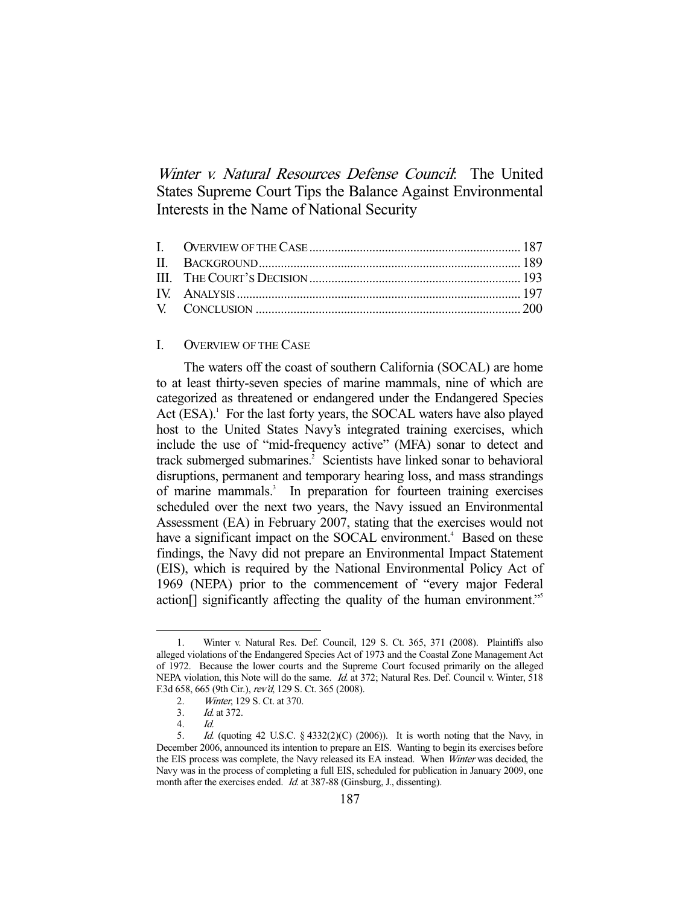Winter *v. Natural Resources Defense Council*: The United States Supreme Court Tips the Balance Against Environmental Interests in the Name of National Security

## I. OVERVIEW OF THE CASE

 The waters off the coast of southern California (SOCAL) are home to at least thirty-seven species of marine mammals, nine of which are categorized as threatened or endangered under the Endangered Species Act  $(ESA)$ .<sup>1</sup> For the last forty years, the SOCAL waters have also played host to the United States Navy's integrated training exercises, which include the use of "mid-frequency active" (MFA) sonar to detect and track submerged submarines.<sup>2</sup> Scientists have linked sonar to behavioral disruptions, permanent and temporary hearing loss, and mass strandings of marine mammals.<sup>3</sup> In preparation for fourteen training exercises scheduled over the next two years, the Navy issued an Environmental Assessment (EA) in February 2007, stating that the exercises would not have a significant impact on the SOCAL environment.<sup>4</sup> Based on these findings, the Navy did not prepare an Environmental Impact Statement (EIS), which is required by the National Environmental Policy Act of 1969 (NEPA) prior to the commencement of "every major Federal action<sup>[]</sup> significantly affecting the quality of the human environment."<sup>5</sup>

 <sup>1.</sup> Winter v. Natural Res. Def. Council, 129 S. Ct. 365, 371 (2008). Plaintiffs also alleged violations of the Endangered Species Act of 1973 and the Coastal Zone Management Act of 1972. Because the lower courts and the Supreme Court focused primarily on the alleged NEPA violation, this Note will do the same. Id. at 372; Natural Res. Def. Council v. Winter, 518 F.3d 658, 665 (9th Cir.), rev'd, 129 S. Ct. 365 (2008).

 <sup>2.</sup> Winter, 129 S. Ct. at 370.

 <sup>3.</sup> Id. at 372.

 <sup>4.</sup> Id.

<sup>5.</sup> Id. (quoting 42 U.S.C.  $\S$  4332(2)(C) (2006)). It is worth noting that the Navy, in December 2006, announced its intention to prepare an EIS. Wanting to begin its exercises before the EIS process was complete, the Navy released its EA instead. When Winter was decided, the Navy was in the process of completing a full EIS, scheduled for publication in January 2009, one month after the exercises ended. *Id.* at 387-88 (Ginsburg, J., dissenting).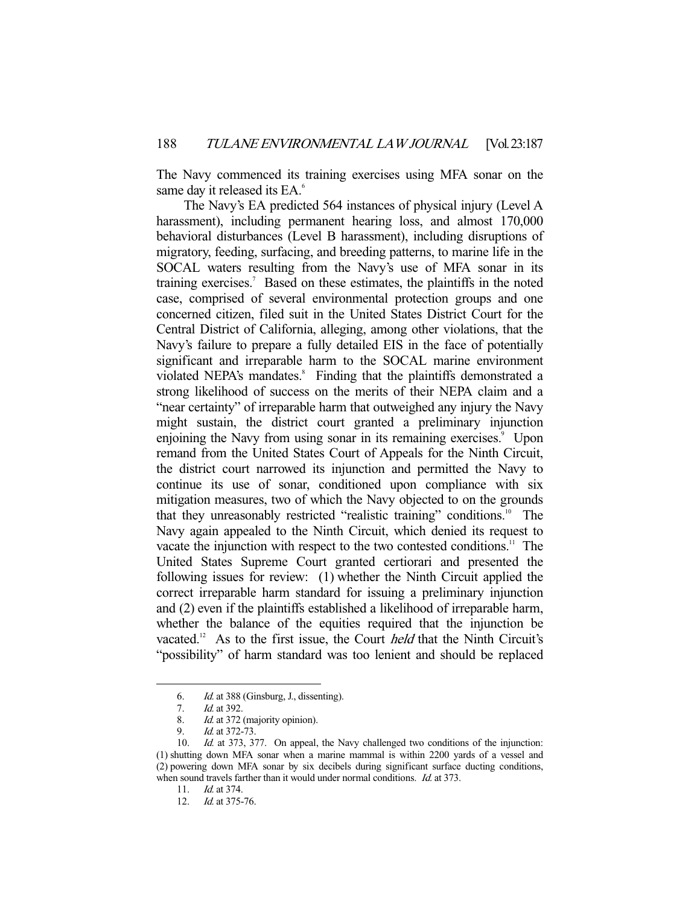The Navy commenced its training exercises using MFA sonar on the same day it released its EA.<sup>6</sup>

 The Navy's EA predicted 564 instances of physical injury (Level A harassment), including permanent hearing loss, and almost 170,000 behavioral disturbances (Level B harassment), including disruptions of migratory, feeding, surfacing, and breeding patterns, to marine life in the SOCAL waters resulting from the Navy's use of MFA sonar in its training exercises.<sup>7</sup> Based on these estimates, the plaintiffs in the noted case, comprised of several environmental protection groups and one concerned citizen, filed suit in the United States District Court for the Central District of California, alleging, among other violations, that the Navy's failure to prepare a fully detailed EIS in the face of potentially significant and irreparable harm to the SOCAL marine environment violated NEPA's mandates.<sup>8</sup> Finding that the plaintiffs demonstrated a strong likelihood of success on the merits of their NEPA claim and a "near certainty" of irreparable harm that outweighed any injury the Navy might sustain, the district court granted a preliminary injunction enjoining the Navy from using sonar in its remaining exercises.<sup>9</sup> Upon remand from the United States Court of Appeals for the Ninth Circuit, the district court narrowed its injunction and permitted the Navy to continue its use of sonar, conditioned upon compliance with six mitigation measures, two of which the Navy objected to on the grounds that they unreasonably restricted "realistic training" conditions.<sup>10</sup> The Navy again appealed to the Ninth Circuit, which denied its request to vacate the injunction with respect to the two contested conditions.<sup>11</sup> The United States Supreme Court granted certiorari and presented the following issues for review: (1) whether the Ninth Circuit applied the correct irreparable harm standard for issuing a preliminary injunction and (2) even if the plaintiffs established a likelihood of irreparable harm, whether the balance of the equities required that the injunction be vacated.<sup>12</sup> As to the first issue, the Court *held* that the Ninth Circuit's "possibility" of harm standard was too lenient and should be replaced

<sup>6.</sup> Id. at 388 (Ginsburg, J., dissenting).

 <sup>7.</sup> Id. at 392.

 <sup>8.</sup> Id. at 372 (majority opinion).

 <sup>9.</sup> Id. at 372-73.

<sup>10.</sup> Id. at 373, 377. On appeal, the Navy challenged two conditions of the injunction: (1) shutting down MFA sonar when a marine mammal is within 2200 yards of a vessel and (2) powering down MFA sonar by six decibels during significant surface ducting conditions, when sound travels farther than it would under normal conditions. *Id.* at 373.

<sup>11.</sup> *Id.* at 374.

<sup>12.</sup> *Id.* at 375-76.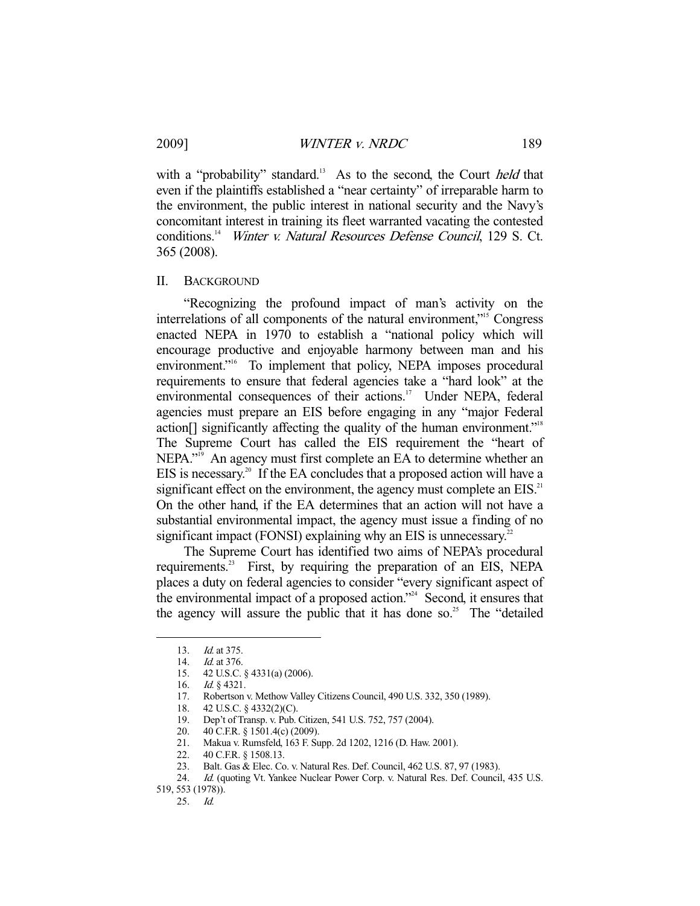with a "probability" standard.<sup>13</sup> As to the second, the Court *held* that even if the plaintiffs established a "near certainty" of irreparable harm to the environment, the public interest in national security and the Navy's concomitant interest in training its fleet warranted vacating the contested conditions.<sup>14</sup> Winter v. Natural Resources Defense Council, 129 S. Ct. 365 (2008).

## II. BACKGROUND

 "Recognizing the profound impact of man's activity on the interrelations of all components of the natural environment,"15 Congress enacted NEPA in 1970 to establish a "national policy which will encourage productive and enjoyable harmony between man and his environment."<sup>16</sup> To implement that policy, NEPA imposes procedural requirements to ensure that federal agencies take a "hard look" at the environmental consequences of their actions.<sup>17</sup> Under NEPA, federal agencies must prepare an EIS before engaging in any "major Federal action<sup>[]</sup> significantly affecting the quality of the human environment."<sup>18</sup> The Supreme Court has called the EIS requirement the "heart of NEPA."<sup>19</sup> An agency must first complete an EA to determine whether an EIS is necessary.<sup>20</sup> If the EA concludes that a proposed action will have a significant effect on the environment, the agency must complete an  $EIS$ <sup>21</sup> On the other hand, if the EA determines that an action will not have a substantial environmental impact, the agency must issue a finding of no significant impact (FONSI) explaining why an EIS is unnecessary.<sup>2</sup>

 The Supreme Court has identified two aims of NEPA's procedural requirements.<sup>23</sup> First, by requiring the preparation of an EIS, NEPA places a duty on federal agencies to consider "every significant aspect of the environmental impact of a proposed action."<sup>24</sup> Second, it ensures that the agency will assure the public that it has done so.<sup>25</sup> The "detailed"

 <sup>13.</sup> Id. at 375.

<sup>14.</sup> *Id.* at 376.

 <sup>15. 42</sup> U.S.C. § 4331(a) (2006).

<sup>16.</sup> *Id.* § 4321.

 <sup>17.</sup> Robertson v. Methow Valley Citizens Council, 490 U.S. 332, 350 (1989).

 <sup>18. 42</sup> U.S.C. § 4332(2)(C).

 <sup>19.</sup> Dep't of Transp. v. Pub. Citizen, 541 U.S. 752, 757 (2004).

<sup>20. 40</sup> C.F.R. § 1501.4(c) (2009).<br>21. Makua v. Rumsfeld, 163 F. Su 21. Makua v. Rumsfeld, 163 F. Supp. 2d 1202, 1216 (D. Haw. 2001).

 <sup>22. 40</sup> C.F.R. § 1508.13.

 <sup>23.</sup> Balt. Gas & Elec. Co. v. Natural Res. Def. Council, 462 U.S. 87, 97 (1983).

<sup>24.</sup> Id. (quoting Vt. Yankee Nuclear Power Corp. v. Natural Res. Def. Council, 435 U.S.

<sup>519, 553 (1978)).</sup> 

 <sup>25.</sup> Id.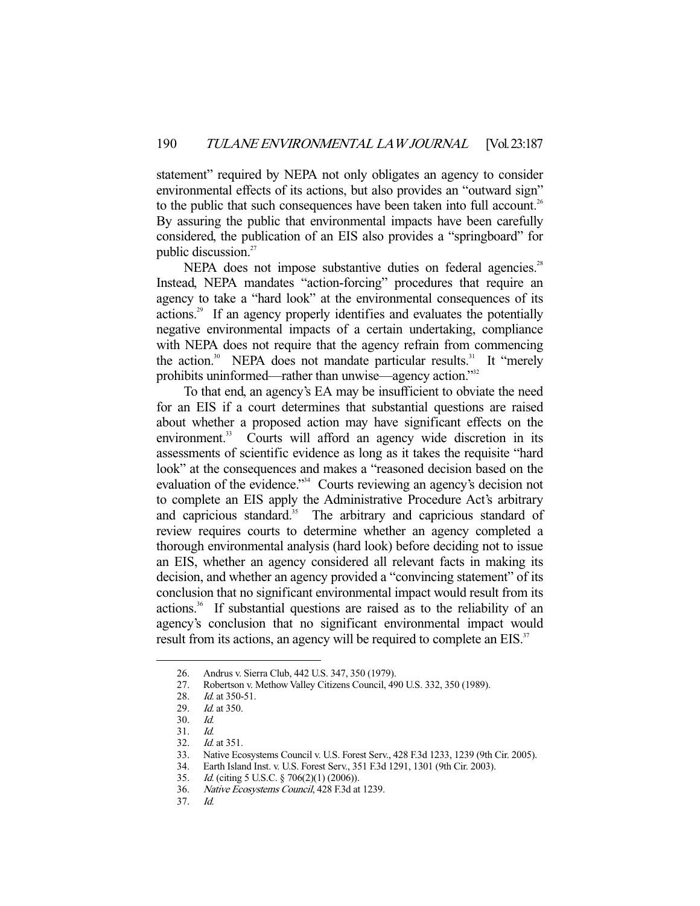statement" required by NEPA not only obligates an agency to consider environmental effects of its actions, but also provides an "outward sign" to the public that such consequences have been taken into full account.<sup>26</sup> By assuring the public that environmental impacts have been carefully considered, the publication of an EIS also provides a "springboard" for public discussion.<sup>27</sup>

NEPA does not impose substantive duties on federal agencies.<sup>28</sup> Instead, NEPA mandates "action-forcing" procedures that require an agency to take a "hard look" at the environmental consequences of its actions.29 If an agency properly identifies and evaluates the potentially negative environmental impacts of a certain undertaking, compliance with NEPA does not require that the agency refrain from commencing the action.<sup>30</sup> NEPA does not mandate particular results.<sup>31</sup> It "merely prohibits uninformed—rather than unwise—agency action."32

 To that end, an agency's EA may be insufficient to obviate the need for an EIS if a court determines that substantial questions are raised about whether a proposed action may have significant effects on the environment.<sup>33</sup> Courts will afford an agency wide discretion in its assessments of scientific evidence as long as it takes the requisite "hard look" at the consequences and makes a "reasoned decision based on the evaluation of the evidence."34 Courts reviewing an agency's decision not to complete an EIS apply the Administrative Procedure Act's arbitrary and capricious standard.<sup>35</sup> The arbitrary and capricious standard of review requires courts to determine whether an agency completed a thorough environmental analysis (hard look) before deciding not to issue an EIS, whether an agency considered all relevant facts in making its decision, and whether an agency provided a "convincing statement" of its conclusion that no significant environmental impact would result from its actions.36 If substantial questions are raised as to the reliability of an agency's conclusion that no significant environmental impact would result from its actions, an agency will be required to complete an EIS.<sup>37</sup>

 <sup>26.</sup> Andrus v. Sierra Club, 442 U.S. 347, 350 (1979).

 <sup>27.</sup> Robertson v. Methow Valley Citizens Council, 490 U.S. 332, 350 (1989).

<sup>28.</sup> *Id.* at 350-51.<br>29. *Id.* at 350.

 $Id.$  at 350.

 <sup>30.</sup> Id.

 <sup>31.</sup> Id.

 <sup>32.</sup> Id. at 351.

 <sup>33.</sup> Native Ecosystems Council v. U.S. Forest Serv., 428 F.3d 1233, 1239 (9th Cir. 2005).

 <sup>34.</sup> Earth Island Inst. v. U.S. Forest Serv., 351 F.3d 1291, 1301 (9th Cir. 2003).

 <sup>35.</sup> Id. (citing 5 U.S.C. § 706(2)(1) (2006)).

 <sup>36.</sup> Native Ecosystems Council, 428 F.3d at 1239.

 <sup>37.</sup> Id.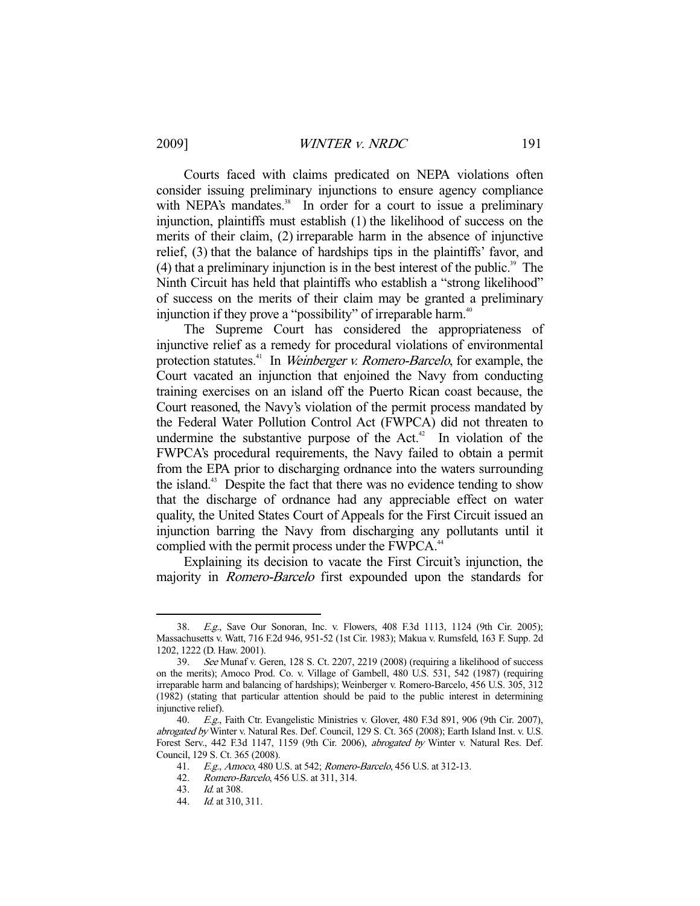Courts faced with claims predicated on NEPA violations often consider issuing preliminary injunctions to ensure agency compliance with NEPA's mandates.<sup>38</sup> In order for a court to issue a preliminary injunction, plaintiffs must establish (1) the likelihood of success on the merits of their claim, (2) irreparable harm in the absence of injunctive relief, (3) that the balance of hardships tips in the plaintiffs' favor, and (4) that a preliminary injunction is in the best interest of the public.<sup>39</sup> The Ninth Circuit has held that plaintiffs who establish a "strong likelihood" of success on the merits of their claim may be granted a preliminary injunction if they prove a "possibility" of irreparable harm.<sup>40</sup>

 The Supreme Court has considered the appropriateness of injunctive relief as a remedy for procedural violations of environmental protection statutes.<sup>41</sup> In *Weinberger v. Romero-Barcelo*, for example, the Court vacated an injunction that enjoined the Navy from conducting training exercises on an island off the Puerto Rican coast because, the Court reasoned, the Navy's violation of the permit process mandated by the Federal Water Pollution Control Act (FWPCA) did not threaten to undermine the substantive purpose of the  $Act<sup>42</sup>$  In violation of the FWPCA's procedural requirements, the Navy failed to obtain a permit from the EPA prior to discharging ordnance into the waters surrounding the island.43 Despite the fact that there was no evidence tending to show that the discharge of ordnance had any appreciable effect on water quality, the United States Court of Appeals for the First Circuit issued an injunction barring the Navy from discharging any pollutants until it complied with the permit process under the FWPCA.<sup>4</sup>

 Explaining its decision to vacate the First Circuit's injunction, the majority in *Romero-Barcelo* first expounded upon the standards for

 <sup>38.</sup> E.g., Save Our Sonoran, Inc. v. Flowers, 408 F.3d 1113, 1124 (9th Cir. 2005); Massachusetts v. Watt, 716 F.2d 946, 951-52 (1st Cir. 1983); Makua v. Rumsfeld, 163 F. Supp. 2d 1202, 1222 (D. Haw. 2001).

 <sup>39.</sup> See Munaf v. Geren, 128 S. Ct. 2207, 2219 (2008) (requiring a likelihood of success on the merits); Amoco Prod. Co. v. Village of Gambell, 480 U.S. 531, 542 (1987) (requiring irreparable harm and balancing of hardships); Weinberger v. Romero-Barcelo, 456 U.S. 305, 312 (1982) (stating that particular attention should be paid to the public interest in determining injunctive relief).

 <sup>40.</sup> E.g., Faith Ctr. Evangelistic Ministries v. Glover, 480 F.3d 891, 906 (9th Cir. 2007), abrogated by Winter v. Natural Res. Def. Council, 129 S. Ct. 365 (2008); Earth Island Inst. v. U.S. Forest Serv., 442 F.3d 1147, 1159 (9th Cir. 2006), abrogated by Winter v. Natural Res. Def. Council, 129 S. Ct. 365 (2008).

<sup>41.</sup> E.g., Amoco, 480 U.S. at 542; Romero-Barcelo, 456 U.S. at 312-13.

 <sup>42.</sup> Romero-Barcelo, 456 U.S. at 311, 314.

 <sup>43.</sup> Id. at 308.

 <sup>44.</sup> Id. at 310, 311.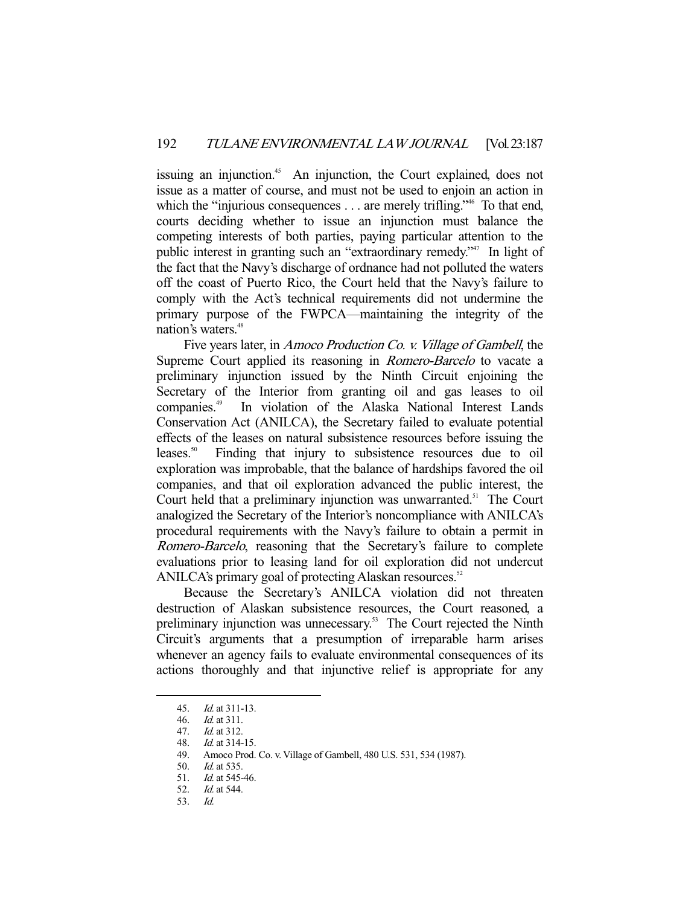issuing an injunction.<sup>45</sup> An injunction, the Court explained, does not issue as a matter of course, and must not be used to enjoin an action in which the "injurious consequences . . . are merely trifling."<sup>46</sup> To that end, courts deciding whether to issue an injunction must balance the competing interests of both parties, paying particular attention to the public interest in granting such an "extraordinary remedy."47 In light of the fact that the Navy's discharge of ordnance had not polluted the waters off the coast of Puerto Rico, the Court held that the Navy's failure to comply with the Act's technical requirements did not undermine the primary purpose of the FWPCA—maintaining the integrity of the nation's waters.<sup>48</sup>

Five years later, in *Amoco Production Co. v. Village of Gambell*, the Supreme Court applied its reasoning in Romero-Barcelo to vacate a preliminary injunction issued by the Ninth Circuit enjoining the Secretary of the Interior from granting oil and gas leases to oil companies.49 In violation of the Alaska National Interest Lands Conservation Act (ANILCA), the Secretary failed to evaluate potential effects of the leases on natural subsistence resources before issuing the leases.<sup>50</sup> Finding that injury to subsistence resources due to oil exploration was improbable, that the balance of hardships favored the oil companies, and that oil exploration advanced the public interest, the Court held that a preliminary injunction was unwarranted.<sup>51</sup> The Court analogized the Secretary of the Interior's noncompliance with ANILCA's procedural requirements with the Navy's failure to obtain a permit in Romero-Barcelo, reasoning that the Secretary's failure to complete evaluations prior to leasing land for oil exploration did not undercut ANILCA's primary goal of protecting Alaskan resources.<sup>52</sup>

 Because the Secretary's ANILCA violation did not threaten destruction of Alaskan subsistence resources, the Court reasoned, a preliminary injunction was unnecessary.<sup>53</sup> The Court rejected the Ninth Circuit's arguments that a presumption of irreparable harm arises whenever an agency fails to evaluate environmental consequences of its actions thoroughly and that injunctive relief is appropriate for any

 <sup>45.</sup> Id. at 311-13.

 <sup>46.</sup> Id. at 311.

<sup>47.</sup> *Id.* at 312.<br>48. *Id.* at 314-

Id. at 314-15.

 <sup>49.</sup> Amoco Prod. Co. v. Village of Gambell, 480 U.S. 531, 534 (1987).

 <sup>50.</sup> Id. at 535.

 <sup>51.</sup> Id. at 545-46.

 <sup>52.</sup> Id. at 544.

 <sup>53.</sup> Id.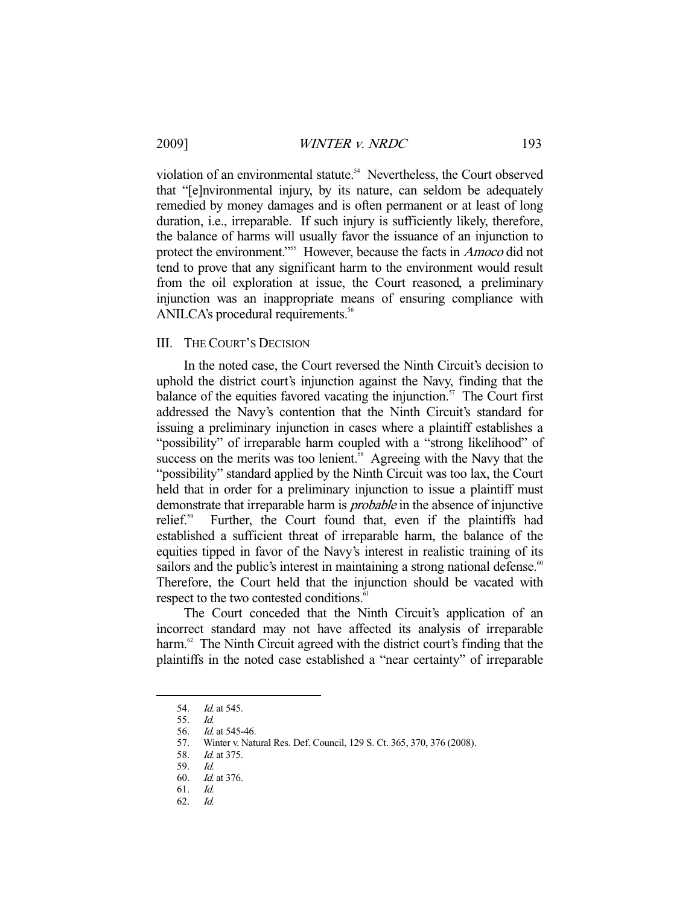violation of an environmental statute.<sup>54</sup> Nevertheless, the Court observed that "[e]nvironmental injury, by its nature, can seldom be adequately remedied by money damages and is often permanent or at least of long duration, i.e., irreparable. If such injury is sufficiently likely, therefore, the balance of harms will usually favor the issuance of an injunction to protect the environment."<sup>55</sup> However, because the facts in *Amoco* did not tend to prove that any significant harm to the environment would result from the oil exploration at issue, the Court reasoned, a preliminary injunction was an inappropriate means of ensuring compliance with ANILCA's procedural requirements.<sup>56</sup>

## III. THE COURT'S DECISION

 In the noted case, the Court reversed the Ninth Circuit's decision to uphold the district court's injunction against the Navy, finding that the balance of the equities favored vacating the injunction. $57$  The Court first addressed the Navy's contention that the Ninth Circuit's standard for issuing a preliminary injunction in cases where a plaintiff establishes a "possibility" of irreparable harm coupled with a "strong likelihood" of success on the merits was too lenient.<sup>58</sup> Agreeing with the Navy that the "possibility" standard applied by the Ninth Circuit was too lax, the Court held that in order for a preliminary injunction to issue a plaintiff must demonstrate that irreparable harm is *probable* in the absence of injunctive relief.<sup>59</sup> Further, the Court found that, even if the plaintiffs had established a sufficient threat of irreparable harm, the balance of the equities tipped in favor of the Navy's interest in realistic training of its sailors and the public's interest in maintaining a strong national defense.<sup>60</sup> Therefore, the Court held that the injunction should be vacated with respect to the two contested conditions.<sup>61</sup>

 The Court conceded that the Ninth Circuit's application of an incorrect standard may not have affected its analysis of irreparable harm.<sup>62</sup> The Ninth Circuit agreed with the district court's finding that the plaintiffs in the noted case established a "near certainty" of irreparable

<sup>54.</sup> *Id.* at 545.

 <sup>55.</sup> Id. Id. at 545-46.

 <sup>57.</sup> Winter v. Natural Res. Def. Council, 129 S. Ct. 365, 370, 376 (2008).

<sup>58.</sup> *Id.* at 375.

 <sup>59.</sup> Id.

 <sup>60.</sup> Id. at 376.

 <sup>61.</sup> Id.

 <sup>62.</sup> Id.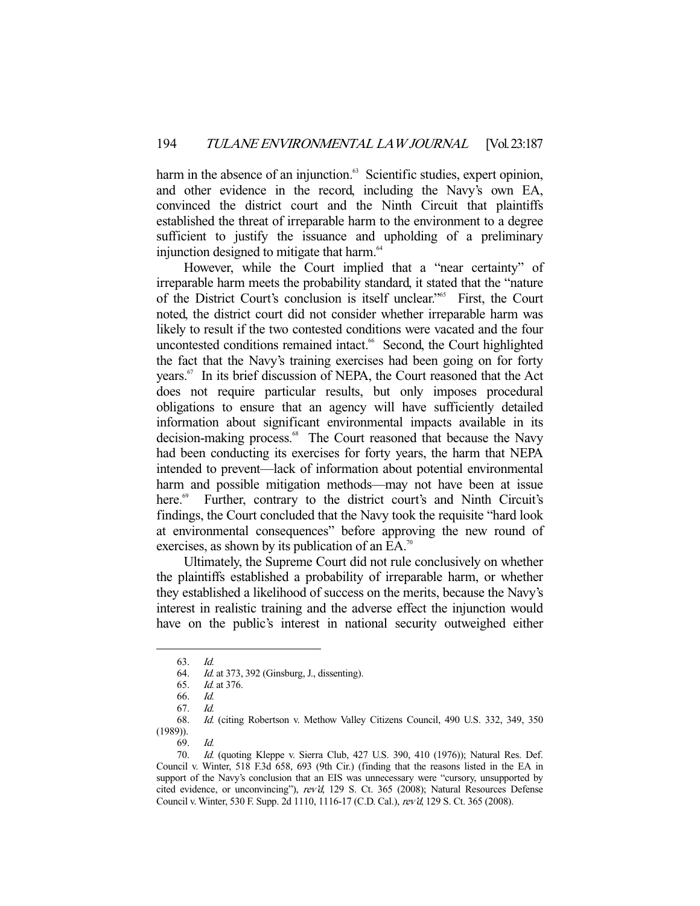harm in the absence of an injunction.<sup>63</sup> Scientific studies, expert opinion, and other evidence in the record, including the Navy's own EA, convinced the district court and the Ninth Circuit that plaintiffs established the threat of irreparable harm to the environment to a degree sufficient to justify the issuance and upholding of a preliminary injunction designed to mitigate that harm.<sup>64</sup>

 However, while the Court implied that a "near certainty" of irreparable harm meets the probability standard, it stated that the "nature of the District Court's conclusion is itself unclear."65 First, the Court noted, the district court did not consider whether irreparable harm was likely to result if the two contested conditions were vacated and the four uncontested conditions remained intact.<sup>66</sup> Second, the Court highlighted the fact that the Navy's training exercises had been going on for forty years.<sup>67</sup> In its brief discussion of NEPA, the Court reasoned that the Act does not require particular results, but only imposes procedural obligations to ensure that an agency will have sufficiently detailed information about significant environmental impacts available in its decision-making process.<sup>68</sup> The Court reasoned that because the Navy had been conducting its exercises for forty years, the harm that NEPA intended to prevent—lack of information about potential environmental harm and possible mitigation methods—may not have been at issue here.<sup>69</sup> Further, contrary to the district court's and Ninth Circuit's findings, the Court concluded that the Navy took the requisite "hard look at environmental consequences" before approving the new round of exercises, as shown by its publication of an  $EA$ .<sup>70</sup>

 Ultimately, the Supreme Court did not rule conclusively on whether the plaintiffs established a probability of irreparable harm, or whether they established a likelihood of success on the merits, because the Navy's interest in realistic training and the adverse effect the injunction would have on the public's interest in national security outweighed either

 <sup>63.</sup> Id.

 <sup>64.</sup> Id. at 373, 392 (Ginsburg, J., dissenting).

<sup>65.</sup> *Id.* at 376.

 <sup>66.</sup> Id.

 <sup>67.</sup> Id.

 <sup>68.</sup> Id. (citing Robertson v. Methow Valley Citizens Council, 490 U.S. 332, 349, 350 (1989)).

 <sup>69.</sup> Id.

 <sup>70.</sup> Id. (quoting Kleppe v. Sierra Club, 427 U.S. 390, 410 (1976)); Natural Res. Def. Council v. Winter, 518 F.3d 658, 693 (9th Cir.) (finding that the reasons listed in the EA in support of the Navy's conclusion that an EIS was unnecessary were "cursory, unsupported by cited evidence, or unconvincing"), rev'd, 129 S. Ct. 365 (2008); Natural Resources Defense Council v. Winter, 530 F. Supp. 2d 1110, 1116-17 (C.D. Cal.), rev'd, 129 S. Ct. 365 (2008).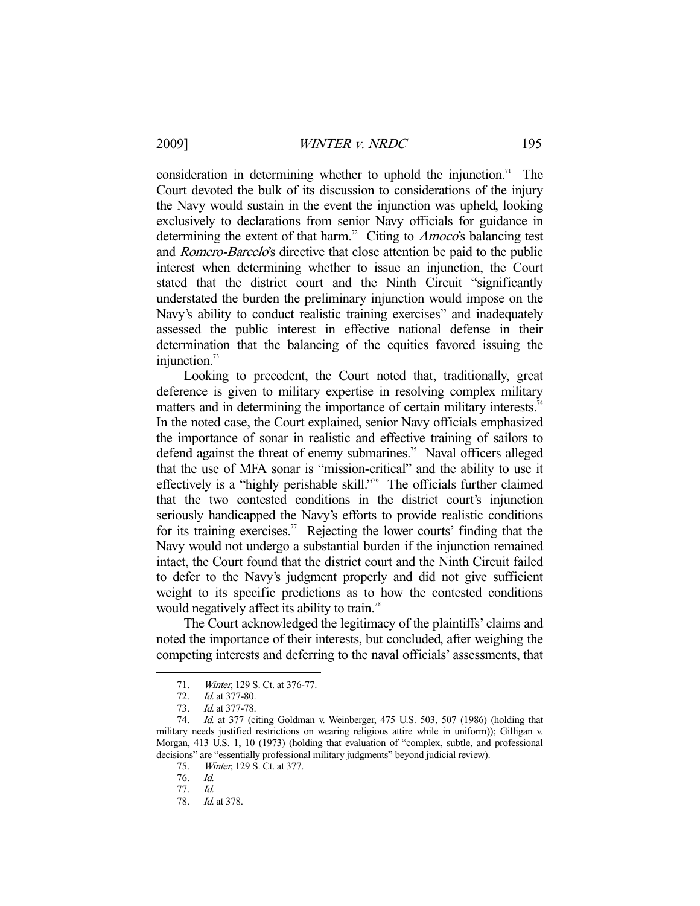consideration in determining whether to uphold the injunction.<sup>71</sup> The Court devoted the bulk of its discussion to considerations of the injury the Navy would sustain in the event the injunction was upheld, looking exclusively to declarations from senior Navy officials for guidance in determining the extent of that harm.<sup>72</sup> Citing to *Amoco*'s balancing test and *Romero-Barcelo*'s directive that close attention be paid to the public interest when determining whether to issue an injunction, the Court stated that the district court and the Ninth Circuit "significantly understated the burden the preliminary injunction would impose on the Navy's ability to conduct realistic training exercises" and inadequately assessed the public interest in effective national defense in their determination that the balancing of the equities favored issuing the injunction. $73$ 

 Looking to precedent, the Court noted that, traditionally, great deference is given to military expertise in resolving complex military matters and in determining the importance of certain military interests.<sup>74</sup> In the noted case, the Court explained, senior Navy officials emphasized the importance of sonar in realistic and effective training of sailors to defend against the threat of enemy submarines.<sup>75</sup> Naval officers alleged that the use of MFA sonar is "mission-critical" and the ability to use it effectively is a "highly perishable skill."76 The officials further claimed that the two contested conditions in the district court's injunction seriously handicapped the Navy's efforts to provide realistic conditions for its training exercises.<sup>77</sup> Rejecting the lower courts' finding that the Navy would not undergo a substantial burden if the injunction remained intact, the Court found that the district court and the Ninth Circuit failed to defer to the Navy's judgment properly and did not give sufficient weight to its specific predictions as to how the contested conditions would negatively affect its ability to train.<sup>78</sup>

 The Court acknowledged the legitimacy of the plaintiffs' claims and noted the importance of their interests, but concluded, after weighing the competing interests and deferring to the naval officials' assessments, that

 <sup>71.</sup> Winter, 129 S. Ct. at 376-77.

 <sup>72.</sup> Id. at 377-80.

 <sup>73.</sup> Id. at 377-78.

 <sup>74.</sup> Id. at 377 (citing Goldman v. Weinberger, 475 U.S. 503, 507 (1986) (holding that military needs justified restrictions on wearing religious attire while in uniform)); Gilligan v. Morgan, 413 U.S. 1, 10 (1973) (holding that evaluation of "complex, subtle, and professional decisions" are "essentially professional military judgments" beyond judicial review).

 <sup>75.</sup> Winter, 129 S. Ct. at 377.

 <sup>76.</sup> Id.

<sup>77.</sup> *Id.*<br>78. *Id.* 

*Id.* at 378.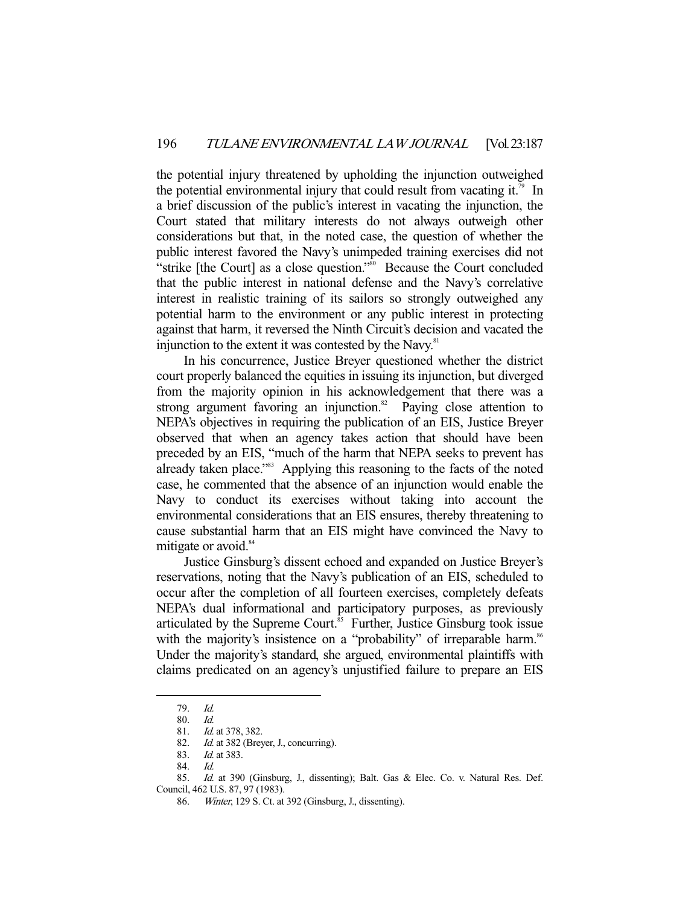the potential injury threatened by upholding the injunction outweighed the potential environmental injury that could result from vacating it.<sup>79</sup> In a brief discussion of the public's interest in vacating the injunction, the Court stated that military interests do not always outweigh other considerations but that, in the noted case, the question of whether the public interest favored the Navy's unimpeded training exercises did not "strike [the Court] as a close question."80 Because the Court concluded that the public interest in national defense and the Navy's correlative interest in realistic training of its sailors so strongly outweighed any potential harm to the environment or any public interest in protecting against that harm, it reversed the Ninth Circuit's decision and vacated the injunction to the extent it was contested by the Navy. $81$ 

 In his concurrence, Justice Breyer questioned whether the district court properly balanced the equities in issuing its injunction, but diverged from the majority opinion in his acknowledgement that there was a strong argument favoring an injunction.<sup>82</sup> Paying close attention to NEPA's objectives in requiring the publication of an EIS, Justice Breyer observed that when an agency takes action that should have been preceded by an EIS, "much of the harm that NEPA seeks to prevent has already taken place."<sup>83</sup> Applying this reasoning to the facts of the noted case, he commented that the absence of an injunction would enable the Navy to conduct its exercises without taking into account the environmental considerations that an EIS ensures, thereby threatening to cause substantial harm that an EIS might have convinced the Navy to mitigate or avoid.<sup>84</sup>

 Justice Ginsburg's dissent echoed and expanded on Justice Breyer's reservations, noting that the Navy's publication of an EIS, scheduled to occur after the completion of all fourteen exercises, completely defeats NEPA's dual informational and participatory purposes, as previously articulated by the Supreme Court.<sup>85</sup> Further, Justice Ginsburg took issue with the majority's insistence on a "probability" of irreparable harm.<sup>86</sup> Under the majority's standard, she argued, environmental plaintiffs with claims predicated on an agency's unjustified failure to prepare an EIS

 <sup>79.</sup> Id.

 <sup>80.</sup> Id.

 <sup>81.</sup> Id. at 378, 382.

<sup>82.</sup> *Id.* at 382 (Breyer, J., concurring).

<sup>83.</sup> *Id.* at 383.

 <sup>84.</sup> Id.

<sup>85.</sup> Id. at 390 (Ginsburg, J., dissenting); Balt. Gas & Elec. Co. v. Natural Res. Def. Council, 462 U.S. 87, 97 (1983).

 <sup>86.</sup> Winter, 129 S. Ct. at 392 (Ginsburg, J., dissenting).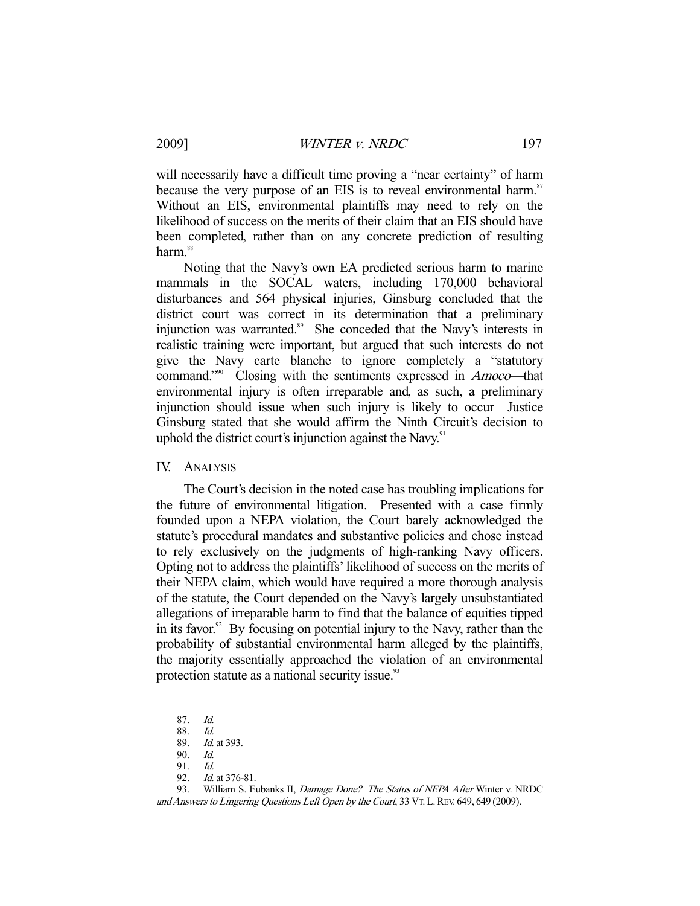will necessarily have a difficult time proving a "near certainty" of harm because the very purpose of an EIS is to reveal environmental harm.<sup>87</sup> Without an EIS, environmental plaintiffs may need to rely on the likelihood of success on the merits of their claim that an EIS should have been completed, rather than on any concrete prediction of resulting harm.<sup>88</sup>

 Noting that the Navy's own EA predicted serious harm to marine mammals in the SOCAL waters, including 170,000 behavioral disturbances and 564 physical injuries, Ginsburg concluded that the district court was correct in its determination that a preliminary injunction was warranted.<sup>89</sup> She conceded that the Navy's interests in realistic training were important, but argued that such interests do not give the Navy carte blanche to ignore completely a "statutory command."<sup>90</sup> Closing with the sentiments expressed in *Amoco*—that environmental injury is often irreparable and, as such, a preliminary injunction should issue when such injury is likely to occur—Justice Ginsburg stated that she would affirm the Ninth Circuit's decision to uphold the district court's injunction against the Navy. $91$ 

IV. ANALYSIS

 The Court's decision in the noted case has troubling implications for the future of environmental litigation. Presented with a case firmly founded upon a NEPA violation, the Court barely acknowledged the statute's procedural mandates and substantive policies and chose instead to rely exclusively on the judgments of high-ranking Navy officers. Opting not to address the plaintiffs' likelihood of success on the merits of their NEPA claim, which would have required a more thorough analysis of the statute, the Court depended on the Navy's largely unsubstantiated allegations of irreparable harm to find that the balance of equities tipped in its favor. $92$  By focusing on potential injury to the Navy, rather than the probability of substantial environmental harm alleged by the plaintiffs, the majority essentially approached the violation of an environmental protection statute as a national security issue.<sup>93</sup>

 <sup>87.</sup> Id.

<sup>88.</sup> *Id.*<br>89. *Id.* Id. at 393.

 <sup>90.</sup> Id.

 <sup>91.</sup> Id.

 <sup>92.</sup> Id. at 376-81.

<sup>93.</sup> William S. Eubanks II, Damage Done? The Status of NEPA After Winter v. NRDC and Answers to Lingering Questions Left Open by the Court, 33 VT. L.REV. 649, 649 (2009).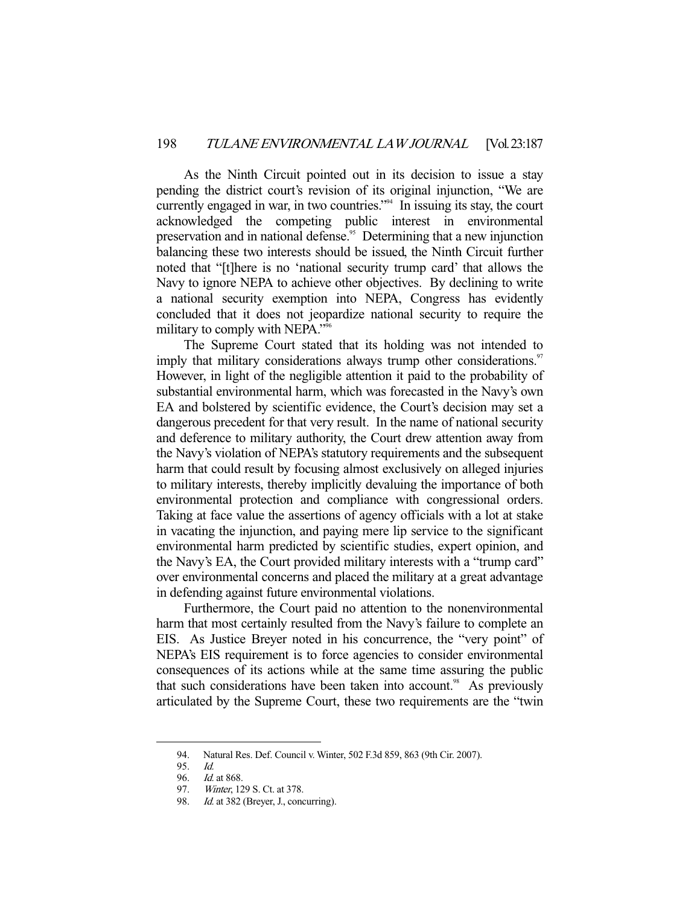As the Ninth Circuit pointed out in its decision to issue a stay pending the district court's revision of its original injunction, "We are currently engaged in war, in two countries."<sup>94</sup> In issuing its stay, the court acknowledged the competing public interest in environmental preservation and in national defense.<sup>95</sup> Determining that a new injunction balancing these two interests should be issued, the Ninth Circuit further noted that "[t]here is no 'national security trump card' that allows the Navy to ignore NEPA to achieve other objectives. By declining to write a national security exemption into NEPA, Congress has evidently concluded that it does not jeopardize national security to require the military to comply with NEPA."<sup>96</sup>

 The Supreme Court stated that its holding was not intended to imply that military considerations always trump other considerations.<sup>97</sup> However, in light of the negligible attention it paid to the probability of substantial environmental harm, which was forecasted in the Navy's own EA and bolstered by scientific evidence, the Court's decision may set a dangerous precedent for that very result. In the name of national security and deference to military authority, the Court drew attention away from the Navy's violation of NEPA's statutory requirements and the subsequent harm that could result by focusing almost exclusively on alleged injuries to military interests, thereby implicitly devaluing the importance of both environmental protection and compliance with congressional orders. Taking at face value the assertions of agency officials with a lot at stake in vacating the injunction, and paying mere lip service to the significant environmental harm predicted by scientific studies, expert opinion, and the Navy's EA, the Court provided military interests with a "trump card" over environmental concerns and placed the military at a great advantage in defending against future environmental violations.

 Furthermore, the Court paid no attention to the nonenvironmental harm that most certainly resulted from the Navy's failure to complete an EIS. As Justice Breyer noted in his concurrence, the "very point" of NEPA's EIS requirement is to force agencies to consider environmental consequences of its actions while at the same time assuring the public that such considerations have been taken into account.<sup>98</sup> As previously articulated by the Supreme Court, these two requirements are the "twin

 <sup>94.</sup> Natural Res. Def. Council v. Winter, 502 F.3d 859, 863 (9th Cir. 2007).

 <sup>95.</sup> Id.

<sup>96.</sup> *Id.* at 868.<br>97. *Winter*, 12 Winter, 129 S. Ct. at 378.

<sup>98.</sup> Id. at 382 (Breyer, J., concurring).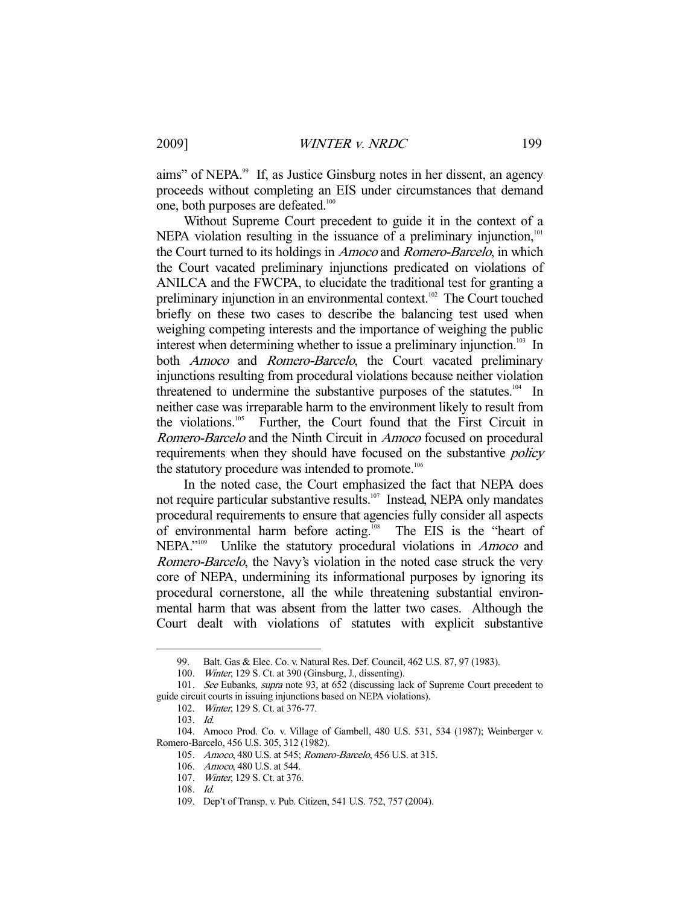aims" of NEPA.<sup>99</sup> If, as Justice Ginsburg notes in her dissent, an agency proceeds without completing an EIS under circumstances that demand one, both purposes are defeated.<sup>100</sup>

 Without Supreme Court precedent to guide it in the context of a NEPA violation resulting in the issuance of a preliminary injunction, $101$ the Court turned to its holdings in Amoco and Romero-Barcelo, in which the Court vacated preliminary injunctions predicated on violations of ANILCA and the FWCPA, to elucidate the traditional test for granting a preliminary injunction in an environmental context.<sup>102</sup> The Court touched briefly on these two cases to describe the balancing test used when weighing competing interests and the importance of weighing the public interest when determining whether to issue a preliminary injunction.<sup>103</sup> In both *Amoco* and *Romero-Barcelo*, the Court vacated preliminary injunctions resulting from procedural violations because neither violation threatened to undermine the substantive purposes of the statutes.<sup>104</sup> In neither case was irreparable harm to the environment likely to result from the violations.<sup>105</sup> Further, the Court found that the First Circuit in Romero-Barcelo and the Ninth Circuit in Amoco focused on procedural requirements when they should have focused on the substantive *policy* the statutory procedure was intended to promote.<sup>106</sup>

 In the noted case, the Court emphasized the fact that NEPA does not require particular substantive results.107 Instead, NEPA only mandates procedural requirements to ensure that agencies fully consider all aspects of environmental harm before acting.<sup>108</sup> The EIS is the "heart of NEPA."<sup>109</sup> Unlike the statutory procedural violations in Amoco and Romero-Barcelo, the Navy's violation in the noted case struck the very core of NEPA, undermining its informational purposes by ignoring its procedural cornerstone, all the while threatening substantial environmental harm that was absent from the latter two cases. Although the Court dealt with violations of statutes with explicit substantive

 <sup>99.</sup> Balt. Gas & Elec. Co. v. Natural Res. Def. Council, 462 U.S. 87, 97 (1983).

 <sup>100.</sup> Winter, 129 S. Ct. at 390 (Ginsburg, J., dissenting).

<sup>101.</sup> See Eubanks, *supra* note 93, at 652 (discussing lack of Supreme Court precedent to guide circuit courts in issuing injunctions based on NEPA violations).

 <sup>102.</sup> Winter, 129 S. Ct. at 376-77.

 <sup>103.</sup> Id.

 <sup>104.</sup> Amoco Prod. Co. v. Village of Gambell, 480 U.S. 531, 534 (1987); Weinberger v. Romero-Barcelo, 456 U.S. 305, 312 (1982).

 <sup>105.</sup> Amoco, 480 U.S. at 545; Romero-Barcelo, 456 U.S. at 315.

 <sup>106.</sup> Amoco, 480 U.S. at 544.

 <sup>107.</sup> Winter, 129 S. Ct. at 376.

 <sup>108.</sup> Id.

 <sup>109.</sup> Dep't of Transp. v. Pub. Citizen, 541 U.S. 752, 757 (2004).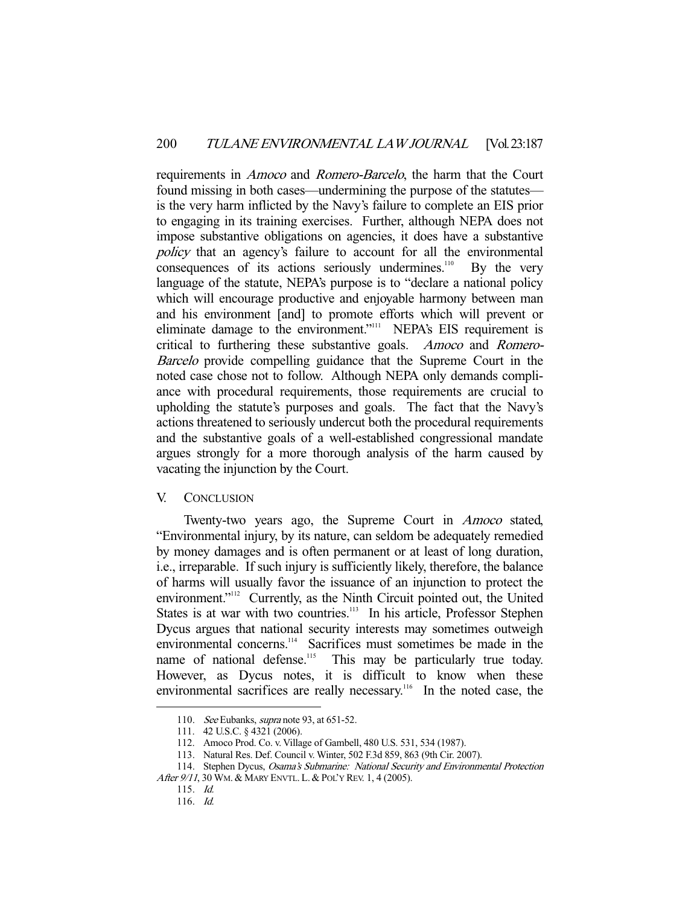requirements in Amoco and Romero-Barcelo, the harm that the Court found missing in both cases—undermining the purpose of the statutes is the very harm inflicted by the Navy's failure to complete an EIS prior to engaging in its training exercises. Further, although NEPA does not impose substantive obligations on agencies, it does have a substantive policy that an agency's failure to account for all the environmental consequences of its actions seriously undermines.<sup>110</sup> By the very language of the statute, NEPA's purpose is to "declare a national policy which will encourage productive and enjoyable harmony between man and his environment [and] to promote efforts which will prevent or eliminate damage to the environment."<sup>111</sup> NEPA's EIS requirement is critical to furthering these substantive goals. Amoco and Romero-Barcelo provide compelling guidance that the Supreme Court in the noted case chose not to follow. Although NEPA only demands compliance with procedural requirements, those requirements are crucial to upholding the statute's purposes and goals. The fact that the Navy's actions threatened to seriously undercut both the procedural requirements and the substantive goals of a well-established congressional mandate argues strongly for a more thorough analysis of the harm caused by vacating the injunction by the Court.

## V. CONCLUSION

Twenty-two years ago, the Supreme Court in *Amoco* stated, "Environmental injury, by its nature, can seldom be adequately remedied by money damages and is often permanent or at least of long duration, i.e., irreparable. If such injury is sufficiently likely, therefore, the balance of harms will usually favor the issuance of an injunction to protect the environment."<sup>112</sup> Currently, as the Ninth Circuit pointed out, the United States is at war with two countries.<sup>113</sup> In his article, Professor Stephen Dycus argues that national security interests may sometimes outweigh environmental concerns.<sup>114</sup> Sacrifices must sometimes be made in the name of national defense.<sup>115</sup> This may be particularly true today. However, as Dycus notes, it is difficult to know when these environmental sacrifices are really necessary.<sup>116</sup> In the noted case, the

<sup>110.</sup> See Eubanks, *supra* note 93, at 651-52.

 <sup>111. 42</sup> U.S.C. § 4321 (2006).

 <sup>112.</sup> Amoco Prod. Co. v. Village of Gambell, 480 U.S. 531, 534 (1987).

 <sup>113.</sup> Natural Res. Def. Council v. Winter, 502 F.3d 859, 863 (9th Cir. 2007).

<sup>114.</sup> Stephen Dycus, Osama's Submarine: National Security and Environmental Protection

After 9/11, 30 WM. & MARY ENVTL. L. & POL'Y REV. 1, 4 (2005). 115. Id.

 <sup>116.</sup> Id.